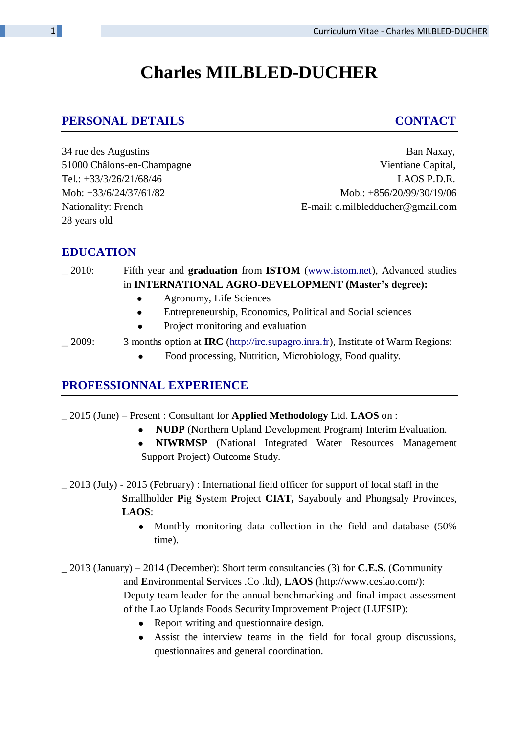# **Charles MILBLED-DUCHER**

# **PERSONAL DETAILS CONTACT**

34 rue des Augustins Ban Naxay, 28 years old

51000 Châlons-en-Champagne Vientiane Capital, Tel.: +33/3/26/21/68/46 LAOS P.D.R. Mob: +33/6/24/37/61/82 Mob.: +856/20/99/30/19/06 Nationality: French E-mail: c.milbledducher@gmail.com

### **EDUCATION**

| $-2010:$ | Fifth year and <b>graduation</b> from <b>ISTOM</b> (www.istom.net), Advanced studies |
|----------|--------------------------------------------------------------------------------------|
|          | in INTERNATIONAL AGRO-DEVELOPMENT (Master's degree):                                 |
|          | Agronomy, Life Sciences<br>$\bullet$                                                 |
|          | Entrepreneurship, Economics, Political and Social sciences<br>$\bullet$              |
|          | Project monitoring and evaluation<br>$\bullet$                                       |
| 2009:    | 3 months option at IRC (http://irc.supagro.inra.fr), Institute of Warm Regions:      |
|          | Food processing, Nutrition, Microbiology, Food quality.                              |

### **PROFESSIONNAL EXPERIENCE**

\_ 2015 (June) – Present : Consultant for **Applied Methodology** Ltd. **LAOS** on :

- **NUDP** (Northern Upland Development Program) Interim Evaluation.
- **NIWRMSP** (National Integrated Water Resources Management Support Project) Outcome Study.
- \_ 2013 (July) 2015 (February) : International field officer for support of local staff in the **S**mallholder **P**ig **S**ystem **P**roject **CIAT,** Sayabouly and Phongsaly Provinces, **LAOS**:
	- Monthly monitoring data collection in the field and database (50%) time).

\_ 2013 (January) – 2014 (December): Short term consultancies (3) for **C.E.S.** (**C**ommunity and **E**nvironmental **S**ervices .Co .ltd), **LAOS** (http://www.ceslao.com/): Deputy team leader for the annual benchmarking and final impact assessment of the Lao Uplands Foods Security Improvement Project (LUFSIP):

- Report writing and questionnaire design.
- Assist the interview teams in the field for focal group discussions, questionnaires and general coordination.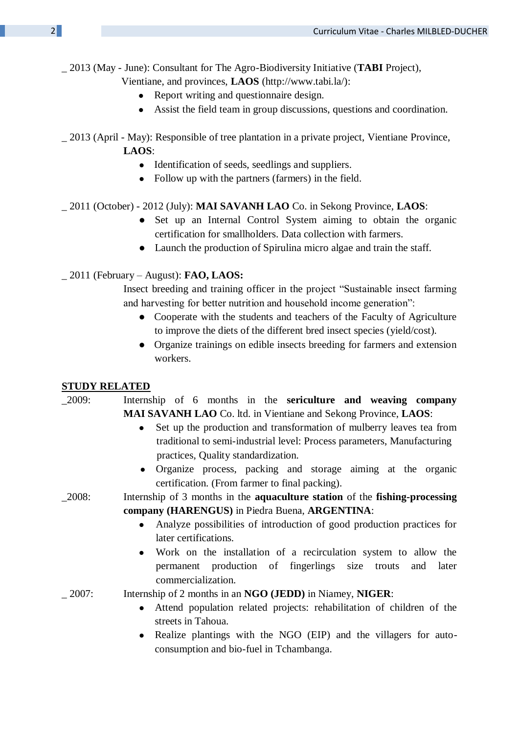#### \_ 2013 (May - June): Consultant for The Agro-Biodiversity Initiative (**TABI** Project),

Vientiane, and provinces, **LAOS** (http://www.tabi.la/):

- Report writing and questionnaire design.
- Assist the field team in group discussions, questions and coordination.
- \_ 2013 (April May): Responsible of tree plantation in a private project, Vientiane Province, **LAOS**:
	- Identification of seeds, seedlings and suppliers.
	- Follow up with the partners (farmers) in the field.

#### \_ 2011 (October) - 2012 (July): **MAI SAVANH LAO** Co. in Sekong Province, **LAOS**:

- Set up an Internal Control System aiming to obtain the organic certification for smallholders. Data collection with farmers.
- Launch the production of Spirulina micro algae and train the staff.

#### \_ 2011 (February – August): **FAO, LAOS:**

Insect breeding and training officer in the project "Sustainable insect farming and harvesting for better nutrition and household income generation":

- Cooperate with the students and teachers of the Faculty of Agriculture to improve the diets of the different bred insect species (yield/cost).
- Organize trainings on edible insects breeding for farmers and extension workers.

#### **STUDY RELATED**

# \_2009: Internship of 6 months in the **sericulture and weaving company** h **MAI SAVANH LAO** Co. ltd. in Vientiane and Sekong Province, **LAOS**:

- Set up the production and transformation of mulberry leaves tea from traditional to semi-industrial level: Process parameters, Manufacturing practices, Quality standardization.
- Organize process, packing and storage aiming at the organic certification. (From farmer to final packing).

### \_2008: Internship of 3 months in the **aquaculture station** of the **fishing-processing h company (HARENGUS)** in Piedra Buena, **ARGENTINA**:

- Analyze possibilities of introduction of good production practices for later certifications.
- Work on the installation of a recirculation system to allow the permanent production of fingerlings size trouts and later commercialization.

\_ 2007: Internship of 2 months in an **NGO (JEDD)** in Niamey, **NIGER**:

- Attend population related projects: rehabilitation of children of the streets in Tahoua.
- Realize plantings with the NGO (EIP) and the villagers for autoconsumption and bio-fuel in Tchambanga.